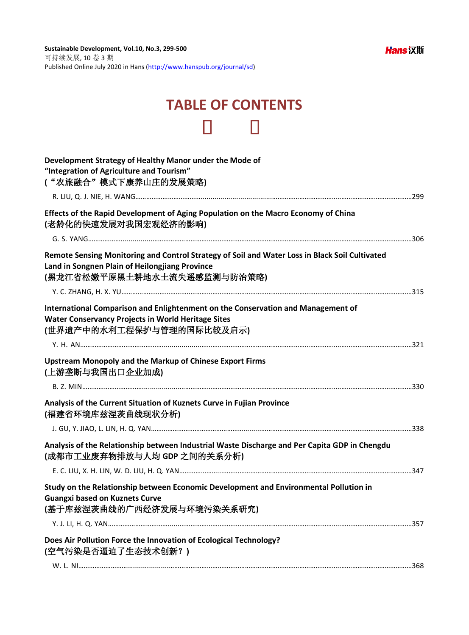## **TABLE OF CONTENTS**

| Development Strategy of Healthy Manor under the Mode of<br>"Integration of Agriculture and Tourism"<br>("农旅融合"模式下康养山庄的发展策略)                                                     |  |
|---------------------------------------------------------------------------------------------------------------------------------------------------------------------------------|--|
|                                                                                                                                                                                 |  |
| Effects of the Rapid Development of Aging Population on the Macro Economy of China<br>(老龄化的快速发展对我国宏观经济的影响)                                                                      |  |
|                                                                                                                                                                                 |  |
| Remote Sensing Monitoring and Control Strategy of Soil and Water Loss in Black Soil Cultivated<br>Land in Songnen Plain of Heilongjiang Province<br>(黑龙江省松嫩平原黑土耕地水土流失遥感监测与防治策略) |  |
|                                                                                                                                                                                 |  |
| International Comparison and Enlightenment on the Conservation and Management of<br><b>Water Conservancy Projects in World Heritage Sites</b><br>(世界遗产中的水利工程保护与管理的国际比较及启示)      |  |
|                                                                                                                                                                                 |  |
| <b>Upstream Monopoly and the Markup of Chinese Export Firms</b><br>(上游垄断与我国出口企业加成)                                                                                              |  |
|                                                                                                                                                                                 |  |
| Analysis of the Current Situation of Kuznets Curve in Fujian Province<br>(福建省环境库兹涅茨曲线现状分析)                                                                                      |  |
|                                                                                                                                                                                 |  |
| Analysis of the Relationship between Industrial Waste Discharge and Per Capita GDP in Chengdu<br>(成都市工业废弃物排放与人均 GDP 之间的关系分析)                                                    |  |
|                                                                                                                                                                                 |  |
| Study on the Relationship between Economic Development and Environmental Pollution in<br><b>Guangxi based on Kuznets Curve</b><br>(基于库兹涅茨曲线的广西经济发展与环境污染关系研究)                    |  |
|                                                                                                                                                                                 |  |
| Does Air Pollution Force the Innovation of Ecological Technology?                                                                                                               |  |
| (空气污染是否逼迫了生态技术创新?)                                                                                                                                                              |  |
|                                                                                                                                                                                 |  |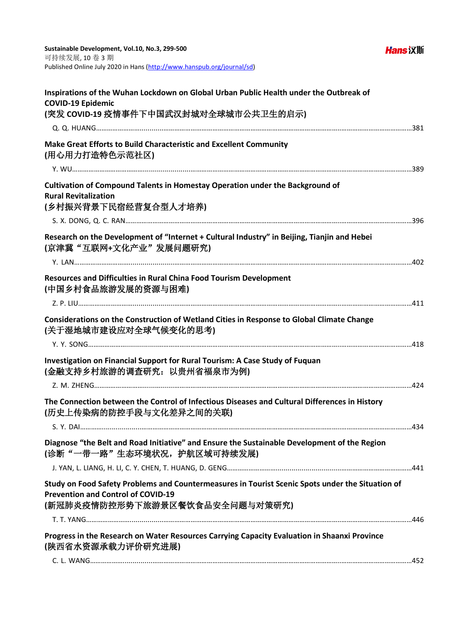**Hans汉斯** 

| Inspirations of the Wuhan Lockdown on Global Urban Public Health under the Outbreak of<br><b>COVID-19 Epidemic</b><br>(突发 COVID-19 疫情事件下中国武汉封城对全球城市公共卫生的启示)                     |  |
|---------------------------------------------------------------------------------------------------------------------------------------------------------------------------------|--|
|                                                                                                                                                                                 |  |
| Make Great Efforts to Build Characteristic and Excellent Community<br>(用心用力打造特色示范社区)                                                                                            |  |
|                                                                                                                                                                                 |  |
| Cultivation of Compound Talents in Homestay Operation under the Background of<br><b>Rural Revitalization</b><br>(乡村振兴背景下民宿经营复合型人才培养)                                            |  |
|                                                                                                                                                                                 |  |
| Research on the Development of "Internet + Cultural Industry" in Beijing, Tianjin and Hebei<br>(京津冀"互联网+文化产业"发展问题研究)                                                            |  |
|                                                                                                                                                                                 |  |
| Resources and Difficulties in Rural China Food Tourism Development<br>(中国乡村食品旅游发展的资源与困难)                                                                                        |  |
|                                                                                                                                                                                 |  |
| Considerations on the Construction of Wetland Cities in Response to Global Climate Change<br>(关于湿地城市建设应对全球气候变化的思考)                                                              |  |
|                                                                                                                                                                                 |  |
| Investigation on Financial Support for Rural Tourism: A Case Study of Fuquan<br>(金融支持乡村旅游的调査研究: 以贵州省福泉市为例)                                                                      |  |
|                                                                                                                                                                                 |  |
| The Connection between the Control of Infectious Diseases and Cultural Differences in History<br>(历史上传染病的防控手段与文化差异之间的关联)                                                        |  |
|                                                                                                                                                                                 |  |
| Diagnose "the Belt and Road Initiative" and Ensure the Sustainable Development of the Region<br>(诊断"一带一路"生态环境状况, 护航区域可持续发展)                                                     |  |
|                                                                                                                                                                                 |  |
| Study on Food Safety Problems and Countermeasures in Tourist Scenic Spots under the Situation of<br><b>Prevention and Control of COVID-19</b><br>(新冠肺炎疫情防控形势下旅游景区餐饮食品安全问题与对策研究) |  |
|                                                                                                                                                                                 |  |
| Progress in the Research on Water Resources Carrying Capacity Evaluation in Shaanxi Province<br>(陕西省水资源承载力评价研究进展)                                                               |  |
|                                                                                                                                                                                 |  |